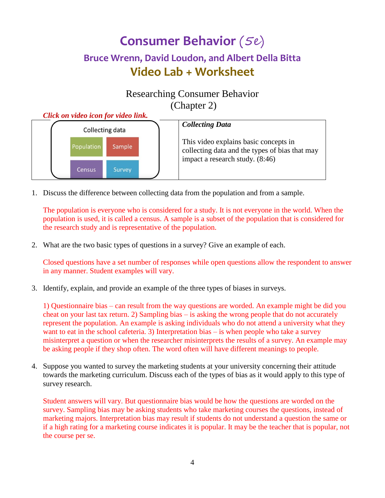# **Consumer Behavior** (5e) **Bruce Wrenn, David Loudon, and Albert Della Bitta Video Lab + Worksheet**

## Researching Consumer Behavior (Chapter 2)



1. Discuss the difference between collecting data from the population and from a sample.

The population is everyone who is considered for a study. It is not everyone in the world. When the population is used, it is called a census. A sample is a subset of the population that is considered for the research study and is representative of the population.

2. What are the two basic types of questions in a survey? Give an example of each.

Closed questions have a set number of responses while open questions allow the respondent to answer in any manner. Student examples will vary.

3. Identify, explain, and provide an example of the three types of biases in surveys.

1) Questionnaire bias – can result from the way questions are worded. An example might be did you cheat on your last tax return. 2) Sampling bias – is asking the wrong people that do not accurately represent the population. An example is asking individuals who do not attend a university what they want to eat in the school cafeteria. 3) Interpretation bias – is when people who take a survey misinterpret a question or when the researcher misinterprets the results of a survey. An example may be asking people if they shop often. The word often will have different meanings to people.

4. Suppose you wanted to survey the marketing students at your university concerning their attitude towards the marketing curriculum. Discuss each of the types of bias as it would apply to this type of survey research.

Student answers will vary. But questionnaire bias would be how the questions are worded on the survey. Sampling bias may be asking students who take marketing courses the questions, instead of marketing majors. Interpretation bias may result if students do not understand a question the same or if a high rating for a marketing course indicates it is popular. It may be the teacher that is popular, not the course per se.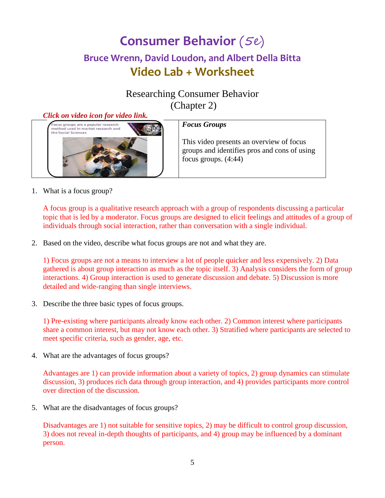# **Consumer Behavior** (5e) **Bruce Wrenn, David Loudon, and Albert Della Bitta Video Lab + Worksheet**

## Researching Consumer Behavior (Chapter 2)

#### *Click on video icon for video link.*



1. What is a focus group?

A focus group is a qualitative research approach with a group of respondents discussing a particular topic that is led by a moderator. Focus groups are designed to elicit feelings and attitudes of a group of individuals through social interaction, rather than conversation with a single individual.

2. Based on the video, describe what focus groups are not and what they are.

1) Focus groups are not a means to interview a lot of people quicker and less expensively. 2) Data gathered is about group interaction as much as the topic itself. 3) Analysis considers the form of group interactions. 4) Group interaction is used to generate discussion and debate. 5) Discussion is more detailed and wide-ranging than single interviews.

3. Describe the three basic types of focus groups.

1) Pre-existing where participants already know each other. 2) Common interest where participants share a common interest, but may not know each other. 3) Stratified where participants are selected to meet specific criteria, such as gender, age, etc.

4. What are the advantages of focus groups?

Advantages are 1) can provide information about a variety of topics, 2) group dynamics can stimulate discussion, 3) produces rich data through group interaction, and 4) provides participants more control over direction of the discussion.

5. What are the disadvantages of focus groups?

Disadvantages are 1) not suitable for sensitive topics, 2) may be difficult to control group discussion, 3) does not reveal in-depth thoughts of participants, and 4) group may be influenced by a dominant person.